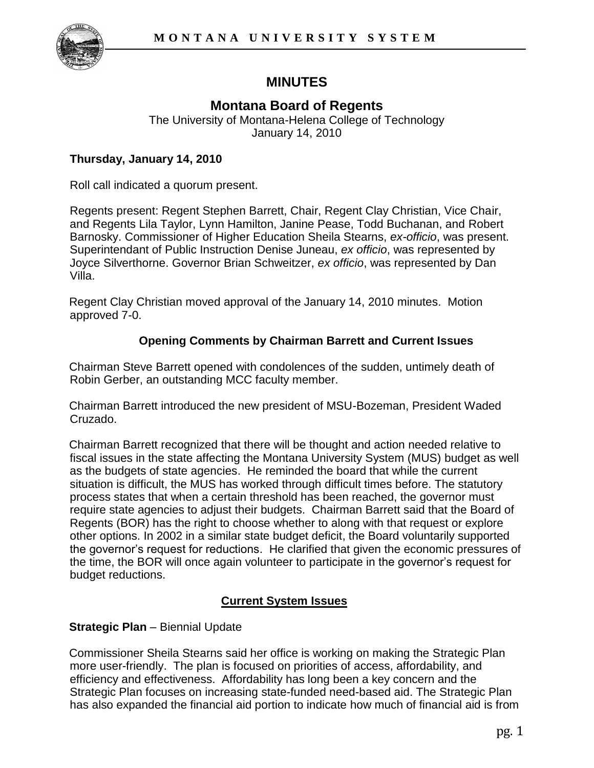

# **MINUTES**

## **Montana Board of Regents**

The University of Montana-Helena College of Technology January 14, 2010

### **Thursday, January 14, 2010**

Roll call indicated a quorum present.

Regents present: Regent Stephen Barrett, Chair, Regent Clay Christian, Vice Chair, and Regents Lila Taylor, Lynn Hamilton, Janine Pease, Todd Buchanan, and Robert Barnosky. Commissioner of Higher Education Sheila Stearns, *ex-officio*, was present. Superintendant of Public Instruction Denise Juneau, *ex officio*, was represented by Joyce Silverthorne. Governor Brian Schweitzer, *ex officio*, was represented by Dan Villa.

Regent Clay Christian moved approval of the January 14, 2010 minutes. Motion approved 7-0.

### **Opening Comments by Chairman Barrett and Current Issues**

Chairman Steve Barrett opened with condolences of the sudden, untimely death of Robin Gerber, an outstanding MCC faculty member.

Chairman Barrett introduced the new president of MSU-Bozeman, President Waded Cruzado.

Chairman Barrett recognized that there will be thought and action needed relative to fiscal issues in the state affecting the Montana University System (MUS) budget as well as the budgets of state agencies. He reminded the board that while the current situation is difficult, the MUS has worked through difficult times before. The statutory process states that when a certain threshold has been reached, the governor must require state agencies to adjust their budgets. Chairman Barrett said that the Board of Regents (BOR) has the right to choose whether to along with that request or explore other options. In 2002 in a similar state budget deficit, the Board voluntarily supported the governor's request for reductions. He clarified that given the economic pressures of the time, the BOR will once again volunteer to participate in the governor's request for budget reductions.

### **Current System Issues**

### **Strategic Plan** – Biennial Update

Commissioner Sheila Stearns said her office is working on making the Strategic Plan more user-friendly. The plan is focused on priorities of access, affordability, and efficiency and effectiveness. Affordability has long been a key concern and the Strategic Plan focuses on increasing state-funded need-based aid. The Strategic Plan has also expanded the financial aid portion to indicate how much of financial aid is from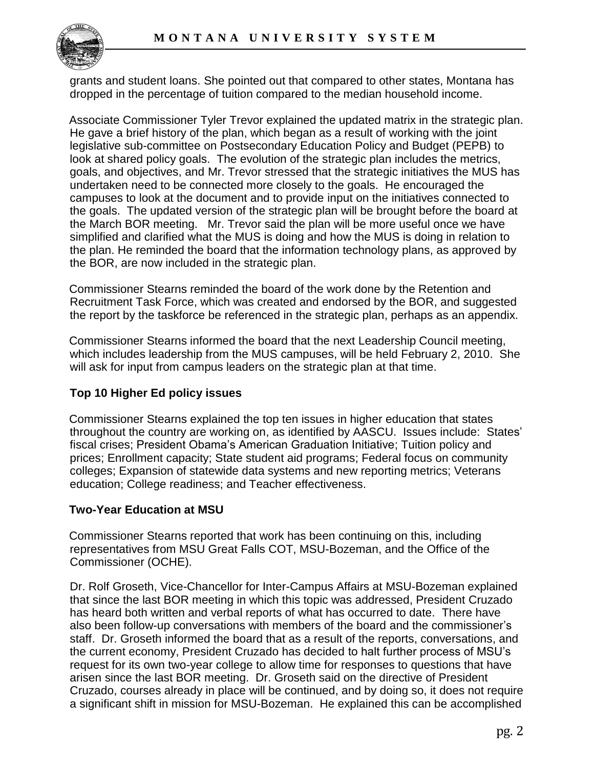

grants and student loans. She pointed out that compared to other states, Montana has dropped in the percentage of tuition compared to the median household income.

Associate Commissioner Tyler Trevor explained the updated matrix in the strategic plan. He gave a brief history of the plan, which began as a result of working with the joint legislative sub-committee on Postsecondary Education Policy and Budget (PEPB) to look at shared policy goals. The evolution of the strategic plan includes the metrics, goals, and objectives, and Mr. Trevor stressed that the strategic initiatives the MUS has undertaken need to be connected more closely to the goals. He encouraged the campuses to look at the document and to provide input on the initiatives connected to the goals. The updated version of the strategic plan will be brought before the board at the March BOR meeting. Mr. Trevor said the plan will be more useful once we have simplified and clarified what the MUS is doing and how the MUS is doing in relation to the plan. He reminded the board that the information technology plans, as approved by the BOR, are now included in the strategic plan.

Commissioner Stearns reminded the board of the work done by the Retention and Recruitment Task Force, which was created and endorsed by the BOR, and suggested the report by the taskforce be referenced in the strategic plan, perhaps as an appendix.

Commissioner Stearns informed the board that the next Leadership Council meeting, which includes leadership from the MUS campuses, will be held February 2, 2010. She will ask for input from campus leaders on the strategic plan at that time.

### **Top 10 Higher Ed policy issues**

Commissioner Stearns explained the top ten issues in higher education that states throughout the country are working on, as identified by AASCU. Issues include: States' fiscal crises; President Obama's American Graduation Initiative; Tuition policy and prices; Enrollment capacity; State student aid programs; Federal focus on community colleges; Expansion of statewide data systems and new reporting metrics; Veterans education; College readiness; and Teacher effectiveness.

### **Two-Year Education at MSU**

Commissioner Stearns reported that work has been continuing on this, including representatives from MSU Great Falls COT, MSU-Bozeman, and the Office of the Commissioner (OCHE).

Dr. Rolf Groseth, Vice-Chancellor for Inter-Campus Affairs at MSU-Bozeman explained that since the last BOR meeting in which this topic was addressed, President Cruzado has heard both written and verbal reports of what has occurred to date. There have also been follow-up conversations with members of the board and the commissioner's staff. Dr. Groseth informed the board that as a result of the reports, conversations, and the current economy, President Cruzado has decided to halt further process of MSU's request for its own two-year college to allow time for responses to questions that have arisen since the last BOR meeting. Dr. Groseth said on the directive of President Cruzado, courses already in place will be continued, and by doing so, it does not require a significant shift in mission for MSU-Bozeman. He explained this can be accomplished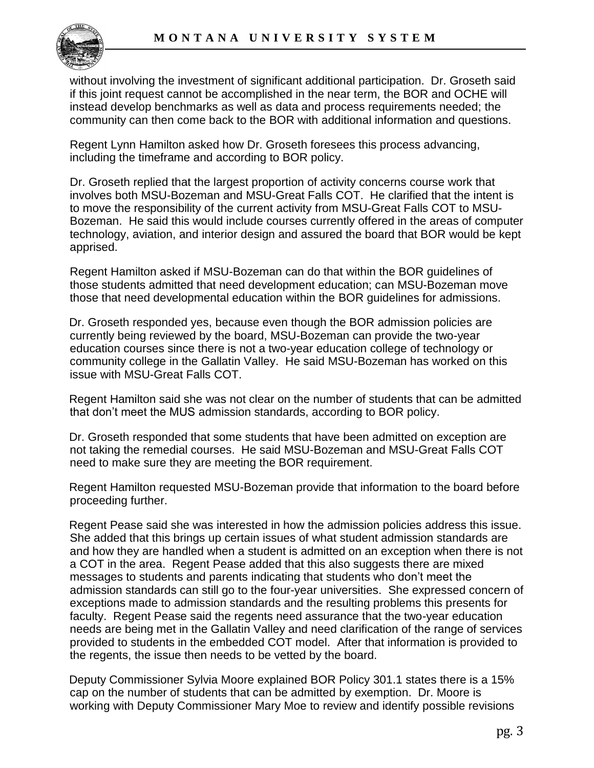

without involving the investment of significant additional participation. Dr. Groseth said if this joint request cannot be accomplished in the near term, the BOR and OCHE will instead develop benchmarks as well as data and process requirements needed; the community can then come back to the BOR with additional information and questions.

Regent Lynn Hamilton asked how Dr. Groseth foresees this process advancing, including the timeframe and according to BOR policy.

Dr. Groseth replied that the largest proportion of activity concerns course work that involves both MSU-Bozeman and MSU-Great Falls COT. He clarified that the intent is to move the responsibility of the current activity from MSU-Great Falls COT to MSU-Bozeman. He said this would include courses currently offered in the areas of computer technology, aviation, and interior design and assured the board that BOR would be kept apprised.

Regent Hamilton asked if MSU-Bozeman can do that within the BOR guidelines of those students admitted that need development education; can MSU-Bozeman move those that need developmental education within the BOR guidelines for admissions.

Dr. Groseth responded yes, because even though the BOR admission policies are currently being reviewed by the board, MSU-Bozeman can provide the two-year education courses since there is not a two-year education college of technology or community college in the Gallatin Valley. He said MSU-Bozeman has worked on this issue with MSU-Great Falls COT.

Regent Hamilton said she was not clear on the number of students that can be admitted that don't meet the MUS admission standards, according to BOR policy.

Dr. Groseth responded that some students that have been admitted on exception are not taking the remedial courses. He said MSU-Bozeman and MSU-Great Falls COT need to make sure they are meeting the BOR requirement.

Regent Hamilton requested MSU-Bozeman provide that information to the board before proceeding further.

Regent Pease said she was interested in how the admission policies address this issue. She added that this brings up certain issues of what student admission standards are and how they are handled when a student is admitted on an exception when there is not a COT in the area. Regent Pease added that this also suggests there are mixed messages to students and parents indicating that students who don't meet the admission standards can still go to the four-year universities. She expressed concern of exceptions made to admission standards and the resulting problems this presents for faculty. Regent Pease said the regents need assurance that the two-year education needs are being met in the Gallatin Valley and need clarification of the range of services provided to students in the embedded COT model. After that information is provided to the regents, the issue then needs to be vetted by the board.

Deputy Commissioner Sylvia Moore explained BOR Policy 301.1 states there is a 15% cap on the number of students that can be admitted by exemption. Dr. Moore is working with Deputy Commissioner Mary Moe to review and identify possible revisions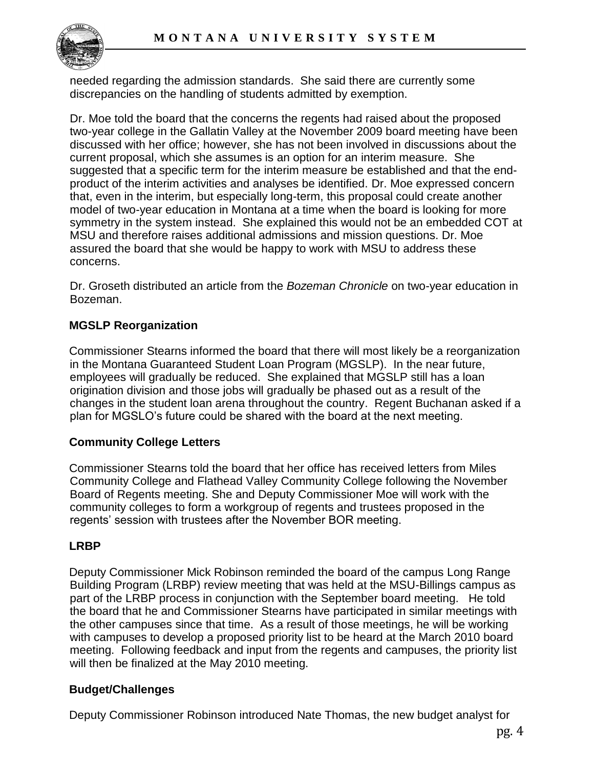

needed regarding the admission standards. She said there are currently some discrepancies on the handling of students admitted by exemption.

Dr. Moe told the board that the concerns the regents had raised about the proposed two-year college in the Gallatin Valley at the November 2009 board meeting have been discussed with her office; however, she has not been involved in discussions about the current proposal, which she assumes is an option for an interim measure. She suggested that a specific term for the interim measure be established and that the endproduct of the interim activities and analyses be identified. Dr. Moe expressed concern that, even in the interim, but especially long-term, this proposal could create another model of two-year education in Montana at a time when the board is looking for more symmetry in the system instead. She explained this would not be an embedded COT at MSU and therefore raises additional admissions and mission questions. Dr. Moe assured the board that she would be happy to work with MSU to address these concerns.

Dr. Groseth distributed an article from the *Bozeman Chronicle* on two-year education in Bozeman.

### **MGSLP Reorganization**

Commissioner Stearns informed the board that there will most likely be a reorganization in the Montana Guaranteed Student Loan Program (MGSLP). In the near future, employees will gradually be reduced. She explained that MGSLP still has a loan origination division and those jobs will gradually be phased out as a result of the changes in the student loan arena throughout the country. Regent Buchanan asked if a plan for MGSLO's future could be shared with the board at the next meeting.

### **Community College Letters**

Commissioner Stearns told the board that her office has received letters from Miles Community College and Flathead Valley Community College following the November Board of Regents meeting. She and Deputy Commissioner Moe will work with the community colleges to form a workgroup of regents and trustees proposed in the regents' session with trustees after the November BOR meeting.

### **LRBP**

Deputy Commissioner Mick Robinson reminded the board of the campus Long Range Building Program (LRBP) review meeting that was held at the MSU-Billings campus as part of the LRBP process in conjunction with the September board meeting. He told the board that he and Commissioner Stearns have participated in similar meetings with the other campuses since that time. As a result of those meetings, he will be working with campuses to develop a proposed priority list to be heard at the March 2010 board meeting. Following feedback and input from the regents and campuses, the priority list will then be finalized at the May 2010 meeting.

### **Budget/Challenges**

Deputy Commissioner Robinson introduced Nate Thomas, the new budget analyst for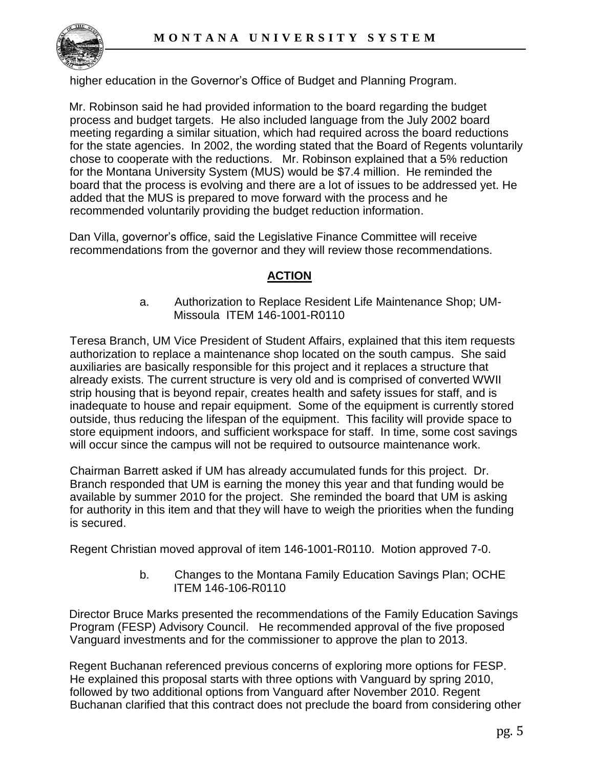

higher education in the Governor's Office of Budget and Planning Program.

Mr. Robinson said he had provided information to the board regarding the budget process and budget targets. He also included language from the July 2002 board meeting regarding a similar situation, which had required across the board reductions for the state agencies. In 2002, the wording stated that the Board of Regents voluntarily chose to cooperate with the reductions. Mr. Robinson explained that a 5% reduction for the Montana University System (MUS) would be \$7.4 million. He reminded the board that the process is evolving and there are a lot of issues to be addressed yet. He added that the MUS is prepared to move forward with the process and he recommended voluntarily providing the budget reduction information.

Dan Villa, governor's office, said the Legislative Finance Committee will receive recommendations from the governor and they will review those recommendations.

### **ACTION**

a. Authorization to Replace Resident Life Maintenance Shop; UM-Missoula ITEM 146-1001-R0110

Teresa Branch, UM Vice President of Student Affairs, explained that this item requests authorization to replace a maintenance shop located on the south campus. She said auxiliaries are basically responsible for this project and it replaces a structure that already exists. The current structure is very old and is comprised of converted WWII strip housing that is beyond repair, creates health and safety issues for staff, and is inadequate to house and repair equipment. Some of the equipment is currently stored outside, thus reducing the lifespan of the equipment. This facility will provide space to store equipment indoors, and sufficient workspace for staff. In time, some cost savings will occur since the campus will not be required to outsource maintenance work.

Chairman Barrett asked if UM has already accumulated funds for this project. Dr. Branch responded that UM is earning the money this year and that funding would be available by summer 2010 for the project. She reminded the board that UM is asking for authority in this item and that they will have to weigh the priorities when the funding is secured.

Regent Christian moved approval of item 146-1001-R0110. Motion approved 7-0.

b. Changes to the Montana Family Education Savings Plan; OCHE ITEM 146-106-R0110

Director Bruce Marks presented the recommendations of the Family Education Savings Program (FESP) Advisory Council. He recommended approval of the five proposed Vanguard investments and for the commissioner to approve the plan to 2013.

Regent Buchanan referenced previous concerns of exploring more options for FESP. He explained this proposal starts with three options with Vanguard by spring 2010, followed by two additional options from Vanguard after November 2010. Regent Buchanan clarified that this contract does not preclude the board from considering other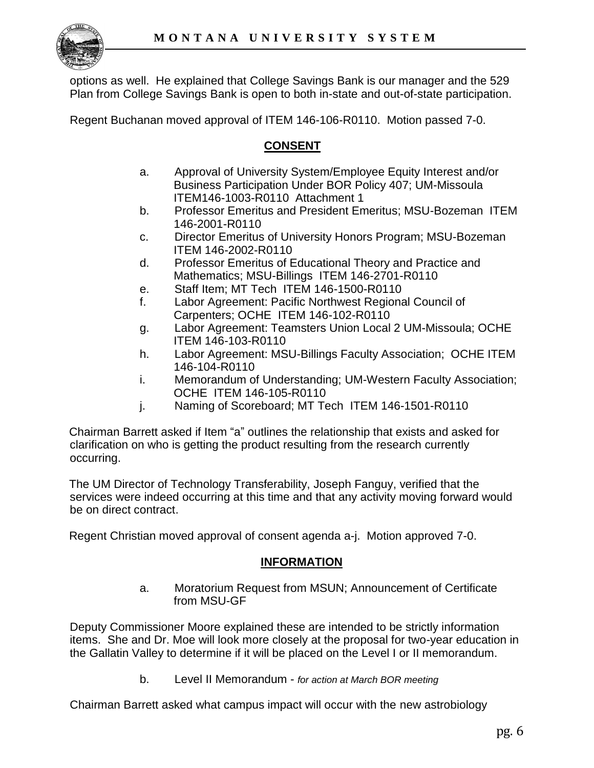

options as well. He explained that College Savings Bank is our manager and the 529 Plan from College Savings Bank is open to both in-state and out-of-state participation.

Regent Buchanan moved approval of ITEM 146-106-R0110. Motion passed 7-0.

### **CONSENT**

- a. Approval of University System/Employee Equity Interest and/or Business Participation Under BOR Policy 407; UM-Missoula ITEM146-1003-R0110 Attachment 1
- b. Professor Emeritus and President Emeritus; MSU-Bozeman ITEM 146-2001-R0110
- c. Director Emeritus of University Honors Program; MSU-Bozeman ITEM 146-2002-R0110
- d. Professor Emeritus of Educational Theory and Practice and Mathematics; MSU-Billings ITEM 146-2701-R0110
- e. Staff Item; MT Tech ITEM 146-1500-R0110
- f. Labor Agreement: Pacific Northwest Regional Council of Carpenters; OCHE ITEM 146-102-R0110
- g. Labor Agreement: Teamsters Union Local 2 UM-Missoula; OCHE ITEM 146-103-R0110
- h. Labor Agreement: MSU-Billings Faculty Association; OCHE ITEM 146-104-R0110
- i. Memorandum of Understanding; UM-Western Faculty Association; OCHE ITEM 146-105-R0110
- j. Naming of Scoreboard; MT Tech ITEM 146-1501-R0110

Chairman Barrett asked if Item "a" outlines the relationship that exists and asked for clarification on who is getting the product resulting from the research currently occurring.

The UM Director of Technology Transferability, Joseph Fanguy, verified that the services were indeed occurring at this time and that any activity moving forward would be on direct contract.

Regent Christian moved approval of consent agenda a-j. Motion approved 7-0.

### **INFORMATION**

a. Moratorium Request from MSUN; Announcement of Certificate from MSU-GF

Deputy Commissioner Moore explained these are intended to be strictly information items. She and Dr. Moe will look more closely at the proposal for two-year education in the Gallatin Valley to determine if it will be placed on the Level I or II memorandum.

b. Level II Memorandum - *for action at March BOR meeting*

Chairman Barrett asked what campus impact will occur with the new astrobiology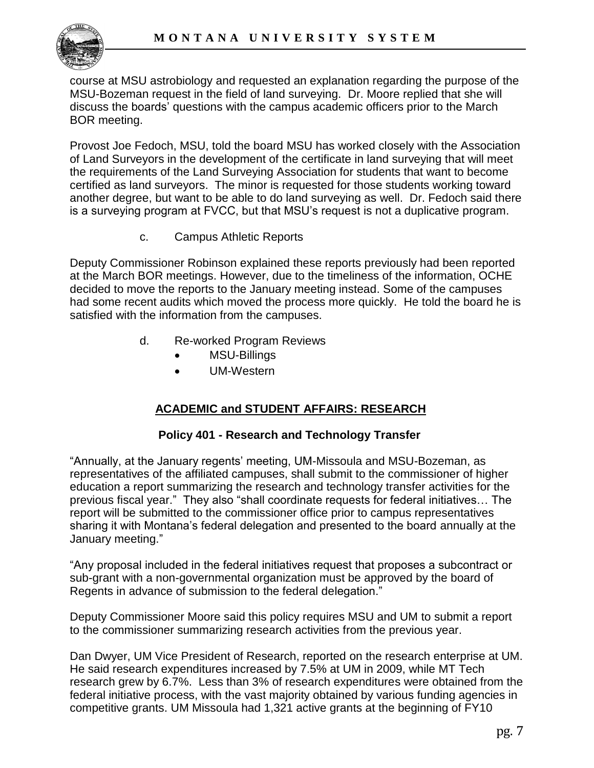

course at MSU astrobiology and requested an explanation regarding the purpose of the MSU-Bozeman request in the field of land surveying. Dr. Moore replied that she will discuss the boards' questions with the campus academic officers prior to the March BOR meeting.

Provost Joe Fedoch, MSU, told the board MSU has worked closely with the Association of Land Surveyors in the development of the certificate in land surveying that will meet the requirements of the Land Surveying Association for students that want to become certified as land surveyors. The minor is requested for those students working toward another degree, but want to be able to do land surveying as well. Dr. Fedoch said there is a surveying program at FVCC, but that MSU's request is not a duplicative program.

c. Campus Athletic Reports

Deputy Commissioner Robinson explained these reports previously had been reported at the March BOR meetings. However, due to the timeliness of the information, OCHE decided to move the reports to the January meeting instead. Some of the campuses had some recent audits which moved the process more quickly. He told the board he is satisfied with the information from the campuses.

- d. Re-worked Program Reviews
	- MSU-Billings
	- UM-Western

### **ACADEMIC and STUDENT AFFAIRS: RESEARCH**

### **Policy 401 - Research and Technology Transfer**

"Annually, at the January regents' meeting, UM-Missoula and MSU-Bozeman, as representatives of the affiliated campuses, shall submit to the commissioner of higher education a report summarizing the research and technology transfer activities for the previous fiscal year." They also "shall coordinate requests for federal initiatives… The report will be submitted to the commissioner office prior to campus representatives sharing it with Montana's federal delegation and presented to the board annually at the January meeting."

"Any proposal included in the federal initiatives request that proposes a subcontract or sub-grant with a non-governmental organization must be approved by the board of Regents in advance of submission to the federal delegation."

Deputy Commissioner Moore said this policy requires MSU and UM to submit a report to the commissioner summarizing research activities from the previous year.

Dan Dwyer, UM Vice President of Research, reported on the research enterprise at UM. He said research expenditures increased by 7.5% at UM in 2009, while MT Tech research grew by 6.7%. Less than 3% of research expenditures were obtained from the federal initiative process, with the vast majority obtained by various funding agencies in competitive grants. UM Missoula had 1,321 active grants at the beginning of FY10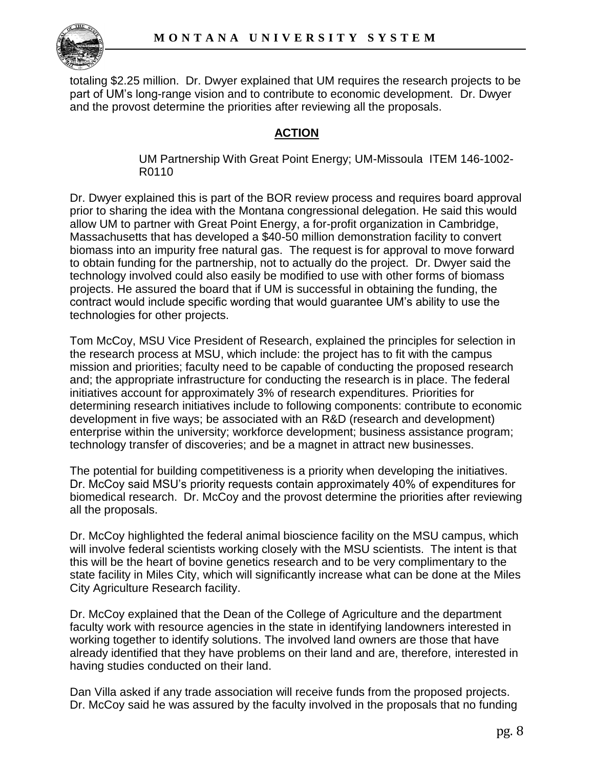

totaling \$2.25 million. Dr. Dwyer explained that UM requires the research projects to be part of UM's long-range vision and to contribute to economic development. Dr. Dwyer and the provost determine the priorities after reviewing all the proposals.

### **ACTION**

UM Partnership With Great Point Energy; UM-Missoula ITEM 146-1002- R0110

Dr. Dwyer explained this is part of the BOR review process and requires board approval prior to sharing the idea with the Montana congressional delegation. He said this would allow UM to partner with Great Point Energy, a for-profit organization in Cambridge, Massachusetts that has developed a \$40-50 million demonstration facility to convert biomass into an impurity free natural gas. The request is for approval to move forward to obtain funding for the partnership, not to actually do the project. Dr. Dwyer said the technology involved could also easily be modified to use with other forms of biomass projects. He assured the board that if UM is successful in obtaining the funding, the contract would include specific wording that would guarantee UM's ability to use the technologies for other projects.

Tom McCoy, MSU Vice President of Research, explained the principles for selection in the research process at MSU, which include: the project has to fit with the campus mission and priorities; faculty need to be capable of conducting the proposed research and; the appropriate infrastructure for conducting the research is in place. The federal initiatives account for approximately 3% of research expenditures. Priorities for determining research initiatives include to following components: contribute to economic development in five ways; be associated with an R&D (research and development) enterprise within the university; workforce development; business assistance program; technology transfer of discoveries; and be a magnet in attract new businesses.

The potential for building competitiveness is a priority when developing the initiatives. Dr. McCoy said MSU's priority requests contain approximately 40% of expenditures for biomedical research. Dr. McCoy and the provost determine the priorities after reviewing all the proposals.

Dr. McCoy highlighted the federal animal bioscience facility on the MSU campus, which will involve federal scientists working closely with the MSU scientists. The intent is that this will be the heart of bovine genetics research and to be very complimentary to the state facility in Miles City, which will significantly increase what can be done at the Miles City Agriculture Research facility.

Dr. McCoy explained that the Dean of the College of Agriculture and the department faculty work with resource agencies in the state in identifying landowners interested in working together to identify solutions. The involved land owners are those that have already identified that they have problems on their land and are, therefore, interested in having studies conducted on their land.

Dan Villa asked if any trade association will receive funds from the proposed projects. Dr. McCoy said he was assured by the faculty involved in the proposals that no funding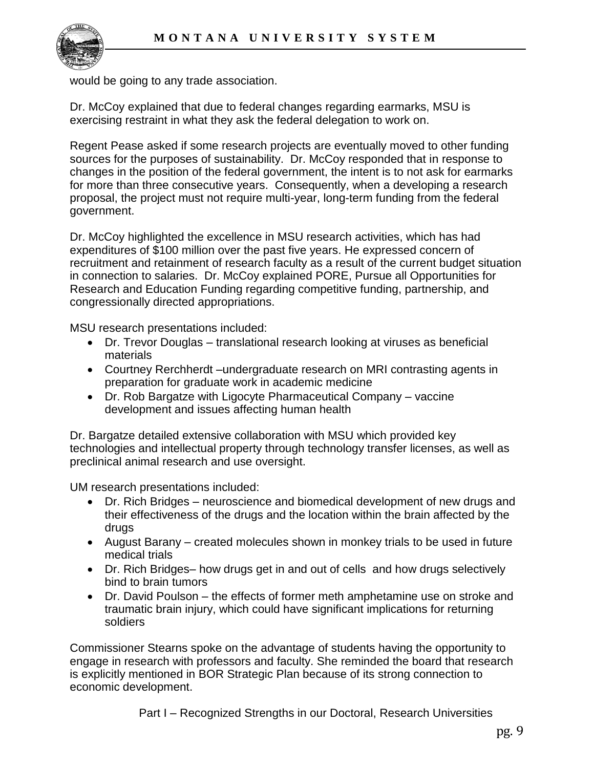

would be going to any trade association.

Dr. McCoy explained that due to federal changes regarding earmarks, MSU is exercising restraint in what they ask the federal delegation to work on.

Regent Pease asked if some research projects are eventually moved to other funding sources for the purposes of sustainability. Dr. McCoy responded that in response to changes in the position of the federal government, the intent is to not ask for earmarks for more than three consecutive years. Consequently, when a developing a research proposal, the project must not require multi-year, long-term funding from the federal government.

Dr. McCoy highlighted the excellence in MSU research activities, which has had expenditures of \$100 million over the past five years. He expressed concern of recruitment and retainment of research faculty as a result of the current budget situation in connection to salaries. Dr. McCoy explained PORE, Pursue all Opportunities for Research and Education Funding regarding competitive funding, partnership, and congressionally directed appropriations.

MSU research presentations included:

- Dr. Trevor Douglas translational research looking at viruses as beneficial materials
- Courtney Rerchherdt –undergraduate research on MRI contrasting agents in preparation for graduate work in academic medicine
- Dr. Rob Bargatze with Ligocyte Pharmaceutical Company vaccine development and issues affecting human health

Dr. Bargatze detailed extensive collaboration with MSU which provided key technologies and intellectual property through technology transfer licenses, as well as preclinical animal research and use oversight.

UM research presentations included:

- Dr. Rich Bridges neuroscience and biomedical development of new drugs and their effectiveness of the drugs and the location within the brain affected by the drugs
- August Barany created molecules shown in monkey trials to be used in future medical trials
- Dr. Rich Bridges– how drugs get in and out of cells and how drugs selectively bind to brain tumors
- Dr. David Poulson the effects of former meth amphetamine use on stroke and traumatic brain injury, which could have significant implications for returning soldiers

Commissioner Stearns spoke on the advantage of students having the opportunity to engage in research with professors and faculty. She reminded the board that research is explicitly mentioned in BOR Strategic Plan because of its strong connection to economic development.

Part I – Recognized Strengths in our Doctoral, Research Universities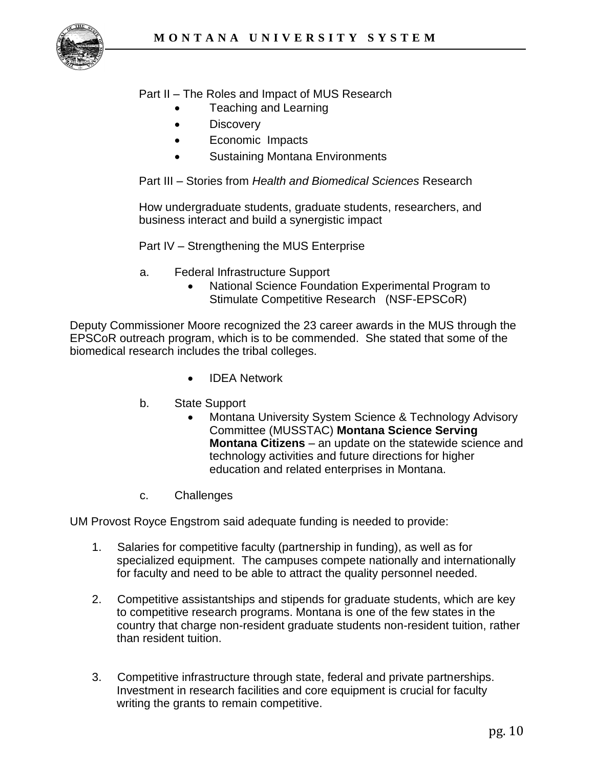

Part II – The Roles and Impact of MUS Research

- Teaching and Learning
- **Discovery**
- Economic Impacts
- Sustaining Montana Environments

Part III – Stories from *Health and Biomedical Sciences* Research

How undergraduate students, graduate students, researchers, and business interact and build a synergistic impact

Part IV – Strengthening the MUS Enterprise

- a. Federal Infrastructure Support
	- National Science Foundation Experimental Program to Stimulate Competitive Research (NSF-EPSCoR)

Deputy Commissioner Moore recognized the 23 career awards in the MUS through the EPSCoR outreach program, which is to be commended. She stated that some of the biomedical research includes the tribal colleges.

- IDEA Network
- b. State Support
	- Montana University System Science & Technology Advisory Committee (MUSSTAC) **Montana Science Serving Montana Citizens** – an update on the statewide science and technology activities and future directions for higher education and related enterprises in Montana.
- c. Challenges

UM Provost Royce Engstrom said adequate funding is needed to provide:

- 1. Salaries for competitive faculty (partnership in funding), as well as for specialized equipment. The campuses compete nationally and internationally for faculty and need to be able to attract the quality personnel needed.
- 2. Competitive assistantships and stipends for graduate students, which are key to competitive research programs. Montana is one of the few states in the country that charge non-resident graduate students non-resident tuition, rather than resident tuition.
- 3. Competitive infrastructure through state, federal and private partnerships. Investment in research facilities and core equipment is crucial for faculty writing the grants to remain competitive.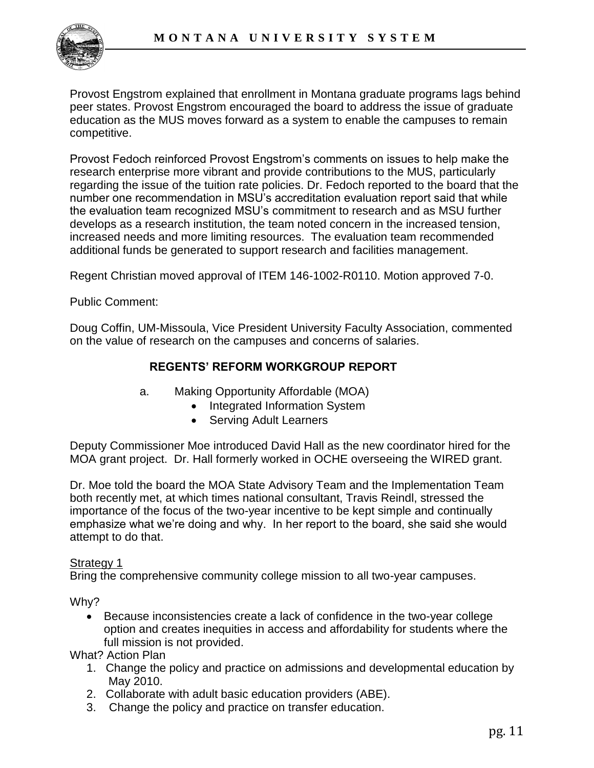Provost Engstrom explained that enrollment in Montana graduate programs lags behind peer states. Provost Engstrom encouraged the board to address the issue of graduate education as the MUS moves forward as a system to enable the campuses to remain competitive.

Provost Fedoch reinforced Provost Engstrom's comments on issues to help make the research enterprise more vibrant and provide contributions to the MUS, particularly regarding the issue of the tuition rate policies. Dr. Fedoch reported to the board that the number one recommendation in MSU's accreditation evaluation report said that while the evaluation team recognized MSU's commitment to research and as MSU further develops as a research institution, the team noted concern in the increased tension, increased needs and more limiting resources. The evaluation team recommended additional funds be generated to support research and facilities management.

Regent Christian moved approval of ITEM 146-1002-R0110. Motion approved 7-0.

Public Comment:

Doug Coffin, UM-Missoula, Vice President University Faculty Association, commented on the value of research on the campuses and concerns of salaries.

### **REGENTS' REFORM WORKGROUP REPORT**

- a. Making Opportunity Affordable (MOA)
	- Integrated Information System
	- Serving Adult Learners

Deputy Commissioner Moe introduced David Hall as the new coordinator hired for the MOA grant project. Dr. Hall formerly worked in OCHE overseeing the WIRED grant.

Dr. Moe told the board the MOA State Advisory Team and the Implementation Team both recently met, at which times national consultant, Travis Reindl, stressed the importance of the focus of the two-year incentive to be kept simple and continually emphasize what we're doing and why. In her report to the board, she said she would attempt to do that.

#### Strategy 1

Bring the comprehensive community college mission to all two-year campuses.

Why?

 Because inconsistencies create a lack of confidence in the two-year college option and creates inequities in access and affordability for students where the full mission is not provided.

What? Action Plan

- 1. Change the policy and practice on admissions and developmental education by May 2010.
- 2. Collaborate with adult basic education providers (ABE).
- 3. Change the policy and practice on transfer education.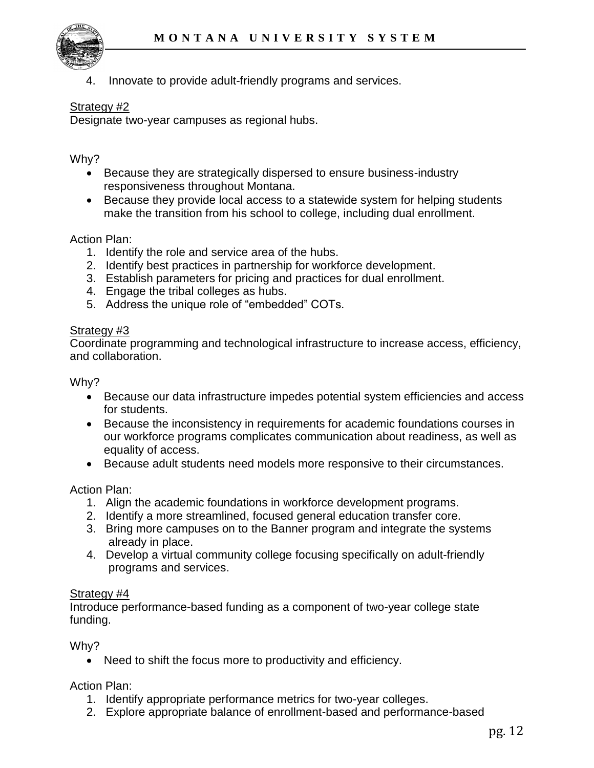

Innovate to provide adult-friendly programs and services.

#### Strategy #2

Designate two-year campuses as regional hubs.

#### Why?

- Because they are strategically dispersed to ensure business-industry responsiveness throughout Montana.
- Because they provide local access to a statewide system for helping students make the transition from his school to college, including dual enrollment.

#### Action Plan:

- 1. Identify the role and service area of the hubs.
- 2. Identify best practices in partnership for workforce development.
- 3. Establish parameters for pricing and practices for dual enrollment.
- 4. Engage the tribal colleges as hubs.
- 5. Address the unique role of "embedded" COTs.

#### Strategy #3

Coordinate programming and technological infrastructure to increase access, efficiency, and collaboration.

Why?

- Because our data infrastructure impedes potential system efficiencies and access for students.
- Because the inconsistency in requirements for academic foundations courses in our workforce programs complicates communication about readiness, as well as equality of access.
- Because adult students need models more responsive to their circumstances.

Action Plan:

- 1. Align the academic foundations in workforce development programs.
- 2. Identify a more streamlined, focused general education transfer core.
- 3. Bring more campuses on to the Banner program and integrate the systems already in place.
- 4. Develop a virtual community college focusing specifically on adult-friendly programs and services.

#### Strategy #4

Introduce performance-based funding as a component of two-year college state funding.

Why?

• Need to shift the focus more to productivity and efficiency.

Action Plan:

- 1. Identify appropriate performance metrics for two-year colleges.
- 2. Explore appropriate balance of enrollment-based and performance-based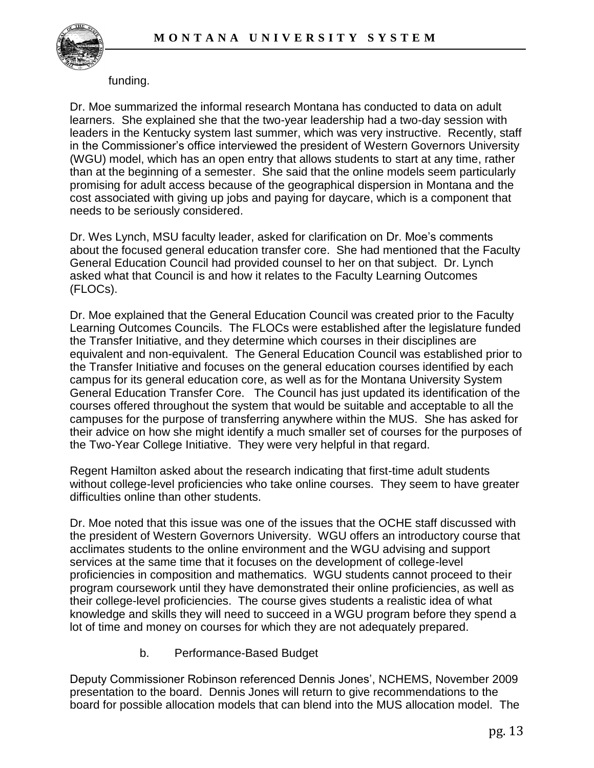

#### funding.

Dr. Moe summarized the informal research Montana has conducted to data on adult learners. She explained she that the two-year leadership had a two-day session with leaders in the Kentucky system last summer, which was very instructive. Recently, staff in the Commissioner's office interviewed the president of Western Governors University (WGU) model, which has an open entry that allows students to start at any time, rather than at the beginning of a semester. She said that the online models seem particularly promising for adult access because of the geographical dispersion in Montana and the cost associated with giving up jobs and paying for daycare, which is a component that needs to be seriously considered.

Dr. Wes Lynch, MSU faculty leader, asked for clarification on Dr. Moe's comments about the focused general education transfer core. She had mentioned that the Faculty General Education Council had provided counsel to her on that subject. Dr. Lynch asked what that Council is and how it relates to the Faculty Learning Outcomes (FLOCs).

Dr. Moe explained that the General Education Council was created prior to the Faculty Learning Outcomes Councils. The FLOCs were established after the legislature funded the Transfer Initiative, and they determine which courses in their disciplines are equivalent and non-equivalent. The General Education Council was established prior to the Transfer Initiative and focuses on the general education courses identified by each campus for its general education core, as well as for the Montana University System General Education Transfer Core. The Council has just updated its identification of the courses offered throughout the system that would be suitable and acceptable to all the campuses for the purpose of transferring anywhere within the MUS. She has asked for their advice on how she might identify a much smaller set of courses for the purposes of the Two-Year College Initiative. They were very helpful in that regard.

Regent Hamilton asked about the research indicating that first-time adult students without college-level proficiencies who take online courses. They seem to have greater difficulties online than other students.

Dr. Moe noted that this issue was one of the issues that the OCHE staff discussed with the president of Western Governors University. WGU offers an introductory course that acclimates students to the online environment and the WGU advising and support services at the same time that it focuses on the development of college-level proficiencies in composition and mathematics. WGU students cannot proceed to their program coursework until they have demonstrated their online proficiencies, as well as their college-level proficiencies. The course gives students a realistic idea of what knowledge and skills they will need to succeed in a WGU program before they spend a lot of time and money on courses for which they are not adequately prepared.

b. Performance-Based Budget

Deputy Commissioner Robinson referenced Dennis Jones', NCHEMS, November 2009 presentation to the board. Dennis Jones will return to give recommendations to the board for possible allocation models that can blend into the MUS allocation model. The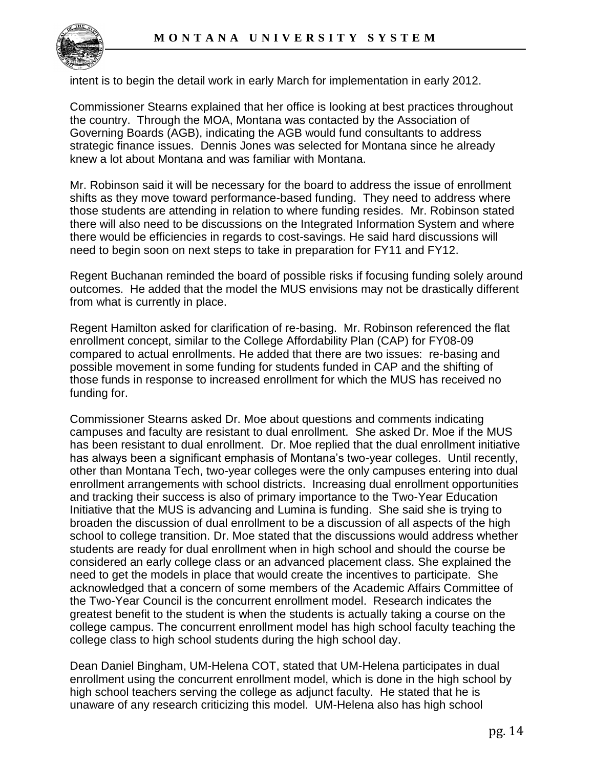

intent is to begin the detail work in early March for implementation in early 2012.

Commissioner Stearns explained that her office is looking at best practices throughout the country. Through the MOA, Montana was contacted by the Association of Governing Boards (AGB), indicating the AGB would fund consultants to address strategic finance issues. Dennis Jones was selected for Montana since he already knew a lot about Montana and was familiar with Montana.

Mr. Robinson said it will be necessary for the board to address the issue of enrollment shifts as they move toward performance-based funding. They need to address where those students are attending in relation to where funding resides. Mr. Robinson stated there will also need to be discussions on the Integrated Information System and where there would be efficiencies in regards to cost-savings. He said hard discussions will need to begin soon on next steps to take in preparation for FY11 and FY12.

Regent Buchanan reminded the board of possible risks if focusing funding solely around outcomes. He added that the model the MUS envisions may not be drastically different from what is currently in place.

Regent Hamilton asked for clarification of re-basing. Mr. Robinson referenced the flat enrollment concept, similar to the College Affordability Plan (CAP) for FY08-09 compared to actual enrollments. He added that there are two issues: re-basing and possible movement in some funding for students funded in CAP and the shifting of those funds in response to increased enrollment for which the MUS has received no funding for.

Commissioner Stearns asked Dr. Moe about questions and comments indicating campuses and faculty are resistant to dual enrollment. She asked Dr. Moe if the MUS has been resistant to dual enrollment. Dr. Moe replied that the dual enrollment initiative has always been a significant emphasis of Montana's two-year colleges. Until recently, other than Montana Tech, two-year colleges were the only campuses entering into dual enrollment arrangements with school districts. Increasing dual enrollment opportunities and tracking their success is also of primary importance to the Two-Year Education Initiative that the MUS is advancing and Lumina is funding. She said she is trying to broaden the discussion of dual enrollment to be a discussion of all aspects of the high school to college transition. Dr. Moe stated that the discussions would address whether students are ready for dual enrollment when in high school and should the course be considered an early college class or an advanced placement class. She explained the need to get the models in place that would create the incentives to participate. She acknowledged that a concern of some members of the Academic Affairs Committee of the Two-Year Council is the concurrent enrollment model. Research indicates the greatest benefit to the student is when the students is actually taking a course on the college campus. The concurrent enrollment model has high school faculty teaching the college class to high school students during the high school day.

Dean Daniel Bingham, UM-Helena COT, stated that UM-Helena participates in dual enrollment using the concurrent enrollment model, which is done in the high school by high school teachers serving the college as adjunct faculty. He stated that he is unaware of any research criticizing this model. UM-Helena also has high school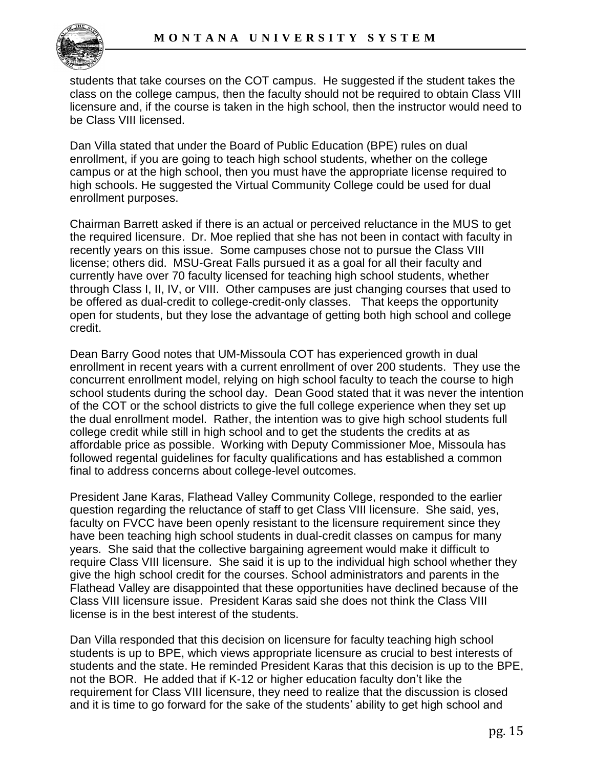students that take courses on the COT campus. He suggested if the student takes the class on the college campus, then the faculty should not be required to obtain Class VIII licensure and, if the course is taken in the high school, then the instructor would need to be Class VIII licensed.

Dan Villa stated that under the Board of Public Education (BPE) rules on dual enrollment, if you are going to teach high school students, whether on the college campus or at the high school, then you must have the appropriate license required to high schools. He suggested the Virtual Community College could be used for dual enrollment purposes.

Chairman Barrett asked if there is an actual or perceived reluctance in the MUS to get the required licensure. Dr. Moe replied that she has not been in contact with faculty in recently years on this issue. Some campuses chose not to pursue the Class VIII license; others did. MSU-Great Falls pursued it as a goal for all their faculty and currently have over 70 faculty licensed for teaching high school students, whether through Class I, II, IV, or VIII. Other campuses are just changing courses that used to be offered as dual-credit to college-credit-only classes. That keeps the opportunity open for students, but they lose the advantage of getting both high school and college credit.

Dean Barry Good notes that UM-Missoula COT has experienced growth in dual enrollment in recent years with a current enrollment of over 200 students. They use the concurrent enrollment model, relying on high school faculty to teach the course to high school students during the school day. Dean Good stated that it was never the intention of the COT or the school districts to give the full college experience when they set up the dual enrollment model. Rather, the intention was to give high school students full college credit while still in high school and to get the students the credits at as affordable price as possible. Working with Deputy Commissioner Moe, Missoula has followed regental guidelines for faculty qualifications and has established a common final to address concerns about college-level outcomes.

President Jane Karas, Flathead Valley Community College, responded to the earlier question regarding the reluctance of staff to get Class VIII licensure. She said, yes, faculty on FVCC have been openly resistant to the licensure requirement since they have been teaching high school students in dual-credit classes on campus for many years. She said that the collective bargaining agreement would make it difficult to require Class VIII licensure. She said it is up to the individual high school whether they give the high school credit for the courses. School administrators and parents in the Flathead Valley are disappointed that these opportunities have declined because of the Class VIII licensure issue. President Karas said she does not think the Class VIII license is in the best interest of the students.

Dan Villa responded that this decision on licensure for faculty teaching high school students is up to BPE, which views appropriate licensure as crucial to best interests of students and the state. He reminded President Karas that this decision is up to the BPE, not the BOR. He added that if K-12 or higher education faculty don't like the requirement for Class VIII licensure, they need to realize that the discussion is closed and it is time to go forward for the sake of the students' ability to get high school and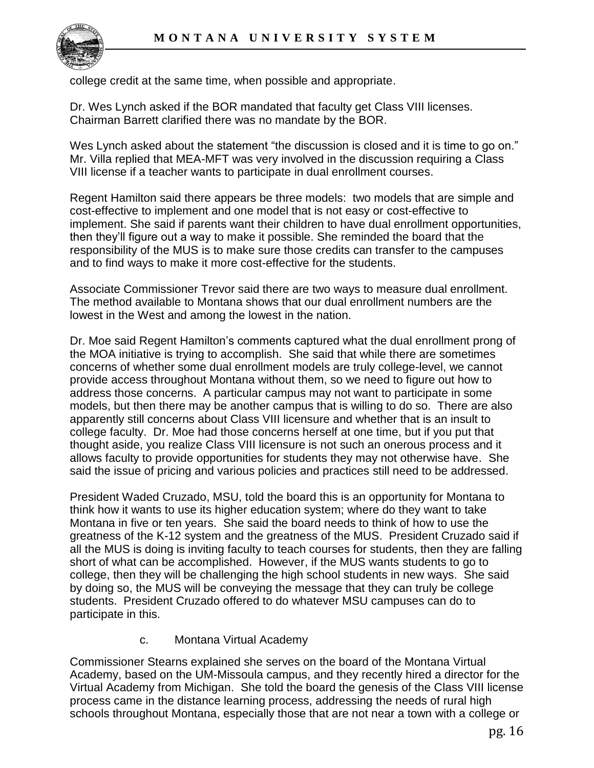

college credit at the same time, when possible and appropriate.

Dr. Wes Lynch asked if the BOR mandated that faculty get Class VIII licenses. Chairman Barrett clarified there was no mandate by the BOR.

Wes Lynch asked about the statement "the discussion is closed and it is time to go on." Mr. Villa replied that MEA-MFT was very involved in the discussion requiring a Class VIII license if a teacher wants to participate in dual enrollment courses.

Regent Hamilton said there appears be three models: two models that are simple and cost-effective to implement and one model that is not easy or cost-effective to implement. She said if parents want their children to have dual enrollment opportunities, then they'll figure out a way to make it possible. She reminded the board that the responsibility of the MUS is to make sure those credits can transfer to the campuses and to find ways to make it more cost-effective for the students.

Associate Commissioner Trevor said there are two ways to measure dual enrollment. The method available to Montana shows that our dual enrollment numbers are the lowest in the West and among the lowest in the nation.

Dr. Moe said Regent Hamilton's comments captured what the dual enrollment prong of the MOA initiative is trying to accomplish. She said that while there are sometimes concerns of whether some dual enrollment models are truly college-level, we cannot provide access throughout Montana without them, so we need to figure out how to address those concerns. A particular campus may not want to participate in some models, but then there may be another campus that is willing to do so. There are also apparently still concerns about Class VIII licensure and whether that is an insult to college faculty. Dr. Moe had those concerns herself at one time, but if you put that thought aside, you realize Class VIII licensure is not such an onerous process and it allows faculty to provide opportunities for students they may not otherwise have. She said the issue of pricing and various policies and practices still need to be addressed.

President Waded Cruzado, MSU, told the board this is an opportunity for Montana to think how it wants to use its higher education system; where do they want to take Montana in five or ten years. She said the board needs to think of how to use the greatness of the K-12 system and the greatness of the MUS. President Cruzado said if all the MUS is doing is inviting faculty to teach courses for students, then they are falling short of what can be accomplished. However, if the MUS wants students to go to college, then they will be challenging the high school students in new ways. She said by doing so, the MUS will be conveying the message that they can truly be college students. President Cruzado offered to do whatever MSU campuses can do to participate in this.

### c. Montana Virtual Academy

Commissioner Stearns explained she serves on the board of the Montana Virtual Academy, based on the UM-Missoula campus, and they recently hired a director for the Virtual Academy from Michigan. She told the board the genesis of the Class VIII license process came in the distance learning process, addressing the needs of rural high schools throughout Montana, especially those that are not near a town with a college or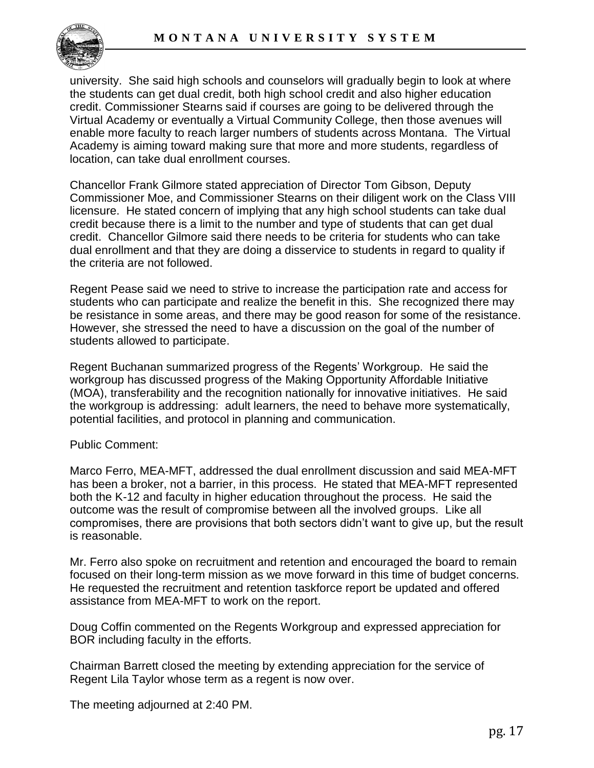

university. She said high schools and counselors will gradually begin to look at where the students can get dual credit, both high school credit and also higher education credit. Commissioner Stearns said if courses are going to be delivered through the Virtual Academy or eventually a Virtual Community College, then those avenues will enable more faculty to reach larger numbers of students across Montana. The Virtual Academy is aiming toward making sure that more and more students, regardless of location, can take dual enrollment courses.

Chancellor Frank Gilmore stated appreciation of Director Tom Gibson, Deputy Commissioner Moe, and Commissioner Stearns on their diligent work on the Class VIII licensure. He stated concern of implying that any high school students can take dual credit because there is a limit to the number and type of students that can get dual credit. Chancellor Gilmore said there needs to be criteria for students who can take dual enrollment and that they are doing a disservice to students in regard to quality if the criteria are not followed.

Regent Pease said we need to strive to increase the participation rate and access for students who can participate and realize the benefit in this. She recognized there may be resistance in some areas, and there may be good reason for some of the resistance. However, she stressed the need to have a discussion on the goal of the number of students allowed to participate.

Regent Buchanan summarized progress of the Regents' Workgroup. He said the workgroup has discussed progress of the Making Opportunity Affordable Initiative (MOA), transferability and the recognition nationally for innovative initiatives. He said the workgroup is addressing: adult learners, the need to behave more systematically, potential facilities, and protocol in planning and communication.

#### Public Comment:

Marco Ferro, MEA-MFT, addressed the dual enrollment discussion and said MEA-MFT has been a broker, not a barrier, in this process. He stated that MEA-MFT represented both the K-12 and faculty in higher education throughout the process. He said the outcome was the result of compromise between all the involved groups. Like all compromises, there are provisions that both sectors didn't want to give up, but the result is reasonable.

Mr. Ferro also spoke on recruitment and retention and encouraged the board to remain focused on their long-term mission as we move forward in this time of budget concerns. He requested the recruitment and retention taskforce report be updated and offered assistance from MEA-MFT to work on the report.

Doug Coffin commented on the Regents Workgroup and expressed appreciation for BOR including faculty in the efforts.

Chairman Barrett closed the meeting by extending appreciation for the service of Regent Lila Taylor whose term as a regent is now over.

The meeting adjourned at 2:40 PM.